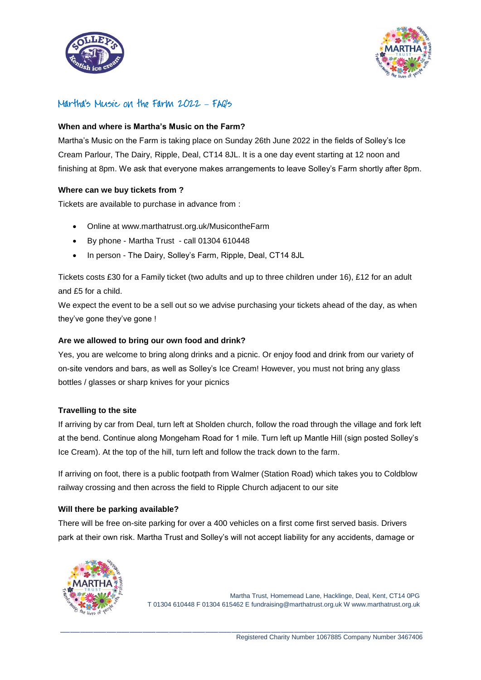



# Martha's Music on the Farm 2022 **–** FAQ's

## **When and where is Martha's Music on the Farm?**

Martha's Music on the Farm is taking place on Sunday 26th June 2022 in the fields of Solley's Ice Cream Parlour, The Dairy, Ripple, Deal, CT14 8JL. It is a one day event starting at 12 noon and finishing at 8pm. We ask that everyone makes arrangements to leave Solley's Farm shortly after 8pm.

## **Where can we buy tickets from ?**

Tickets are available to purchase in advance from :

- Online at www.marthatrust.org.uk/MusicontheFarm
- By phone Martha Trust call 01304 610448
- In person The Dairy, Solley's Farm, Ripple, Deal, CT14 8JL

Tickets costs £30 for a Family ticket (two adults and up to three children under 16), £12 for an adult and £5 for a child.

We expect the event to be a sell out so we advise purchasing your tickets ahead of the day, as when they've gone they've gone !

## **Are we allowed to bring our own food and drink?**

Yes, you are welcome to bring along drinks and a picnic. Or enjoy food and drink from our variety of on-site vendors and bars, as well as Solley's Ice Cream! However, you must not bring any glass bottles / glasses or sharp knives for your picnics

#### **Travelling to the site**

If arriving by car from Deal, turn left at Sholden church, follow the road through the village and fork left at the bend. Continue along Mongeham Road for 1 mile. Turn left up Mantle Hill (sign posted Solley's Ice Cream). At the top of the hill, turn left and follow the track down to the farm.

If arriving on foot, there is a public footpath from Walmer (Station Road) which takes you to Coldblow railway crossing and then across the field to Ripple Church adjacent to our site

#### **Will there be parking available?**

There will be free on-site parking for over a 400 vehicles on a first come first served basis. Drivers park at their own risk. Martha Trust and Solley's will not accept liability for any accidents, damage or

\_\_\_\_\_\_\_\_\_\_\_\_\_\_\_\_\_\_\_\_\_\_\_\_\_\_\_\_\_\_\_\_\_\_\_\_\_\_\_\_\_\_\_\_\_\_\_\_\_\_\_\_\_\_\_\_\_\_\_\_\_\_\_\_\_\_\_\_\_\_\_\_\_\_\_\_\_\_\_\_\_\_\_\_\_\_\_\_\_\_\_\_\_\_\_\_\_\_\_\_\_\_\_\_\_\_\_\_\_\_

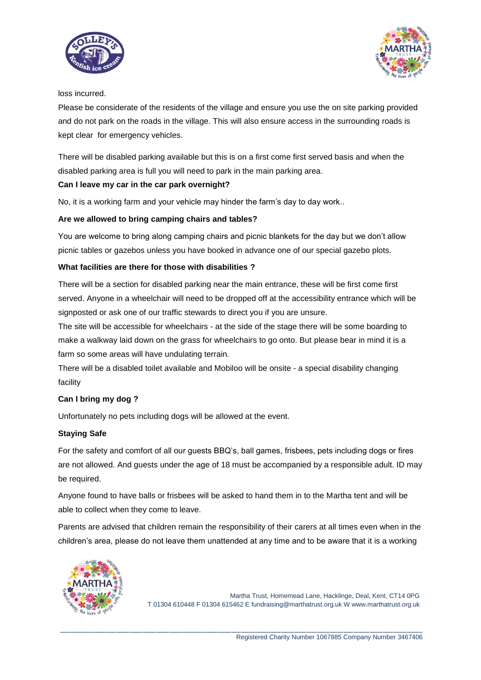



loss incurred.

Please be considerate of the residents of the village and ensure you use the on site parking provided and do not park on the roads in the village. This will also ensure access in the surrounding roads is kept clear for emergency vehicles.

There will be disabled parking available but this is on a first come first served basis and when the disabled parking area is full you will need to park in the main parking area.

# **Can I leave my car in the car park overnight?**

No, it is a working farm and your vehicle may hinder the farm's day to day work..

# **Are we allowed to bring camping chairs and tables?**

You are welcome to bring along camping chairs and picnic blankets for the day but we don't allow picnic tables or gazebos unless you have booked in advance one of our special gazebo plots.

## **What facilities are there for those with disabilities ?**

There will be a section for disabled parking near the main entrance, these will be first come first served. Anyone in a wheelchair will need to be dropped off at the accessibility entrance which will be signposted or ask one of our traffic stewards to direct you if you are unsure.

The site will be accessible for wheelchairs - at the side of the stage there will be some boarding to make a walkway laid down on the grass for wheelchairs to go onto. But please bear in mind it is a farm so some areas will have undulating terrain.

There will be a disabled toilet available and Mobiloo will be onsite - a special disability changing facility

# **Can I bring my dog ?**

Unfortunately no pets including dogs will be allowed at the event.

# **Staying Safe**

For the safety and comfort of all our guests BBQ's, ball games, frisbees, pets including dogs or fires are not allowed. And guests under the age of 18 must be accompanied by a responsible adult. ID may be required.

Anyone found to have balls or frisbees will be asked to hand them in to the Martha tent and will be able to collect when they come to leave.

Parents are advised that children remain the responsibility of their carers at all times even when in the children's area, please do not leave them unattended at any time and to be aware that it is a working

\_\_\_\_\_\_\_\_\_\_\_\_\_\_\_\_\_\_\_\_\_\_\_\_\_\_\_\_\_\_\_\_\_\_\_\_\_\_\_\_\_\_\_\_\_\_\_\_\_\_\_\_\_\_\_\_\_\_\_\_\_\_\_\_\_\_\_\_\_\_\_\_\_\_\_\_\_\_\_\_\_\_\_\_\_\_\_\_\_\_\_\_\_\_\_\_\_\_\_\_\_\_\_\_\_\_\_\_\_\_

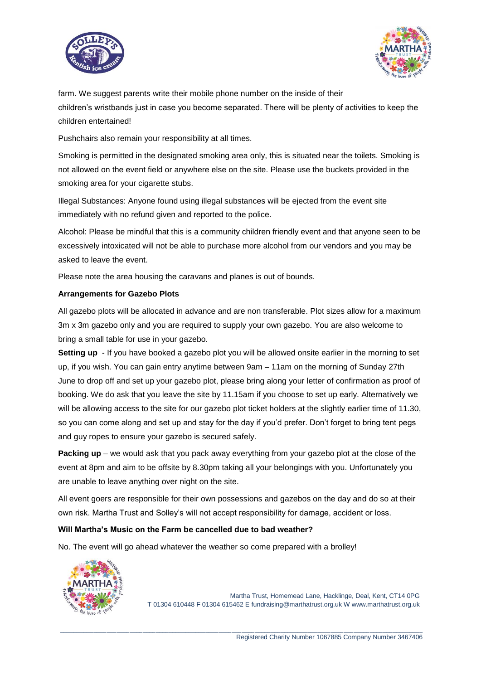



farm. We suggest parents write their mobile phone number on the inside of their children's wristbands just in case you become separated. There will be plenty of activities to keep the children entertained!

Pushchairs also remain your responsibility at all times.

Smoking is permitted in the designated smoking area only, this is situated near the toilets. Smoking is not allowed on the event field or anywhere else on the site. Please use the buckets provided in the smoking area for your cigarette stubs.

Illegal Substances: Anyone found using illegal substances will be ejected from the event site immediately with no refund given and reported to the police.

Alcohol: Please be mindful that this is a community children friendly event and that anyone seen to be excessively intoxicated will not be able to purchase more alcohol from our vendors and you may be asked to leave the event.

Please note the area housing the caravans and planes is out of bounds.

#### **Arrangements for Gazebo Plots**

All gazebo plots will be allocated in advance and are non transferable. Plot sizes allow for a maximum 3m x 3m gazebo only and you are required to supply your own gazebo. You are also welcome to bring a small table for use in your gazebo.

**Setting up** - If you have booked a gazebo plot you will be allowed onsite earlier in the morning to set up, if you wish. You can gain entry anytime between 9am – 11am on the morning of Sunday 27th June to drop off and set up your gazebo plot, please bring along your letter of confirmation as proof of booking. We do ask that you leave the site by 11.15am if you choose to set up early. Alternatively we will be allowing access to the site for our gazebo plot ticket holders at the slightly earlier time of 11.30, so you can come along and set up and stay for the day if you'd prefer. Don't forget to bring tent pegs and guy ropes to ensure your gazebo is secured safely.

**Packing up** – we would ask that you pack away everything from your gazebo plot at the close of the event at 8pm and aim to be offsite by 8.30pm taking all your belongings with you. Unfortunately you are unable to leave anything over night on the site.

All event goers are responsible for their own possessions and gazebos on the day and do so at their own risk. Martha Trust and Solley's will not accept responsibility for damage, accident or loss.

\_\_\_\_\_\_\_\_\_\_\_\_\_\_\_\_\_\_\_\_\_\_\_\_\_\_\_\_\_\_\_\_\_\_\_\_\_\_\_\_\_\_\_\_\_\_\_\_\_\_\_\_\_\_\_\_\_\_\_\_\_\_\_\_\_\_\_\_\_\_\_\_\_\_\_\_\_\_\_\_\_\_\_\_\_\_\_\_\_\_\_\_\_\_\_\_\_\_\_\_\_\_\_\_\_\_\_\_\_\_

#### **Will Martha's Music on the Farm be cancelled due to bad weather?**

No. The event will go ahead whatever the weather so come prepared with a brolley!